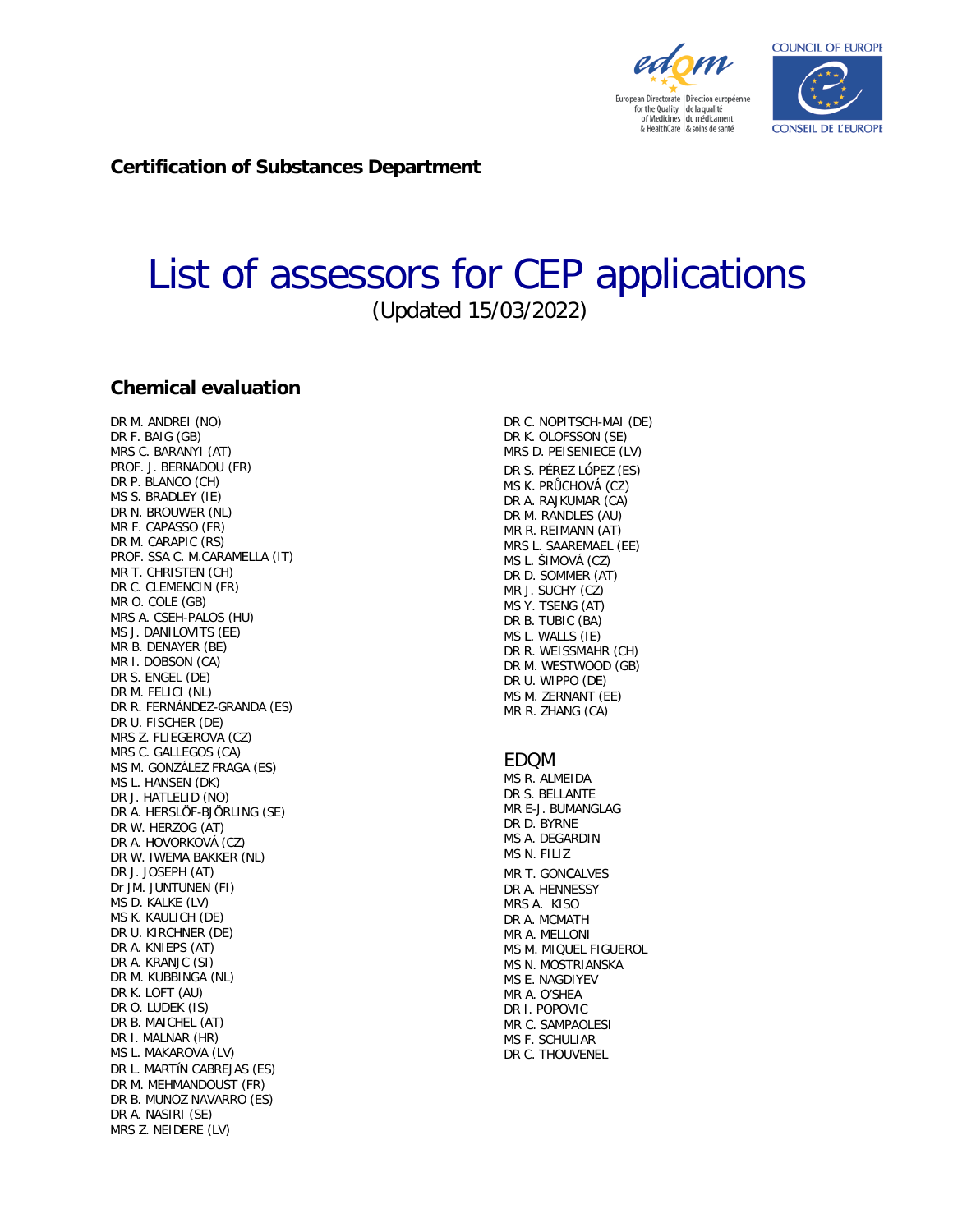

European Directorate | Direction européenne for the Quality<br>of Medicines<br>du médicament & HealthCare & soins de santé

edom



**Certification of Substances Department**

# List of assessors for CEP applications (Updated 15/03/2022)

#### **Chemical evaluation**

DR M. ANDREI (NO) DR F. BAIG (GB) MRS C. BARANYI (AT) PROF. J. BERNADOU (FR) DR P. BLANCO (CH) MS S. BRADLEY (IE) DR N. BROUWER (NL) MR F. CAPASSO (FR) DR M. CARAPIC (RS) PROF. SSA C. M.CARAMELLA (IT) MR T. CHRISTEN (CH) DR C. CLEMENCIN (FR) MR O. COLE (GB) MRS A. CSEH-PALOS (HU) MS J. DANILOVITS (EE) MR B. DENAYER (BE) MR I. DOBSON (CA) DR S. ENGEL (DE) DR M. FELICI (NL) DR R. FERNÁNDEZ-GRANDA (ES) DR U. FISCHER (DE) MRS Z. FLIEGEROVA (CZ) MRS C. GALLEGOS (CA) MS M. GONZÁLEZ FRAGA (ES) MS L. HANSEN (DK) DR J. HATLELID (NO) DR A. HERSLÖF-BJÖRLING (SE) DR W. HERZOG (AT) DR A. HOVORKOVÁ (CZ) DR W. IWEMA BAKKER (NL) DR J. JOSEPH (AT) Dr JM. JUNTUNEN (FI) MS D. KALKE (LV) MS K. KAULICH (DE) DR U. KIRCHNER (DE) DR A. KNIEPS (AT) DR A. KRANJC (SI) DR M. KUBBINGA (NL) DR K. LOFT (AU) DR O. LUDEK (IS) DR B. MAICHEL (AT) DR I. MALNAR (HR) MS L. MAKAROVA (LV) DR L. MARTíN CABREJAS (ES) DR M. MEHMANDOUST (FR) DR B. MUNOZ NAVARRO (ES) DR A. NASIRI (SE) MRS Z. NEIDERE (LV)

DR C. NOPITSCH-MAI (DE) DR K. OLOFSSON (SE) MRS D. PEISENIECE (LV) DR S. PÉREZ LóPEZ (ES) MS K. PRŮCHOVÁ (CZ) DR A. RAJKUMAR (CA) DR M. RANDLES (AU) MR R. REIMANN (AT) MRS L. SAAREMAEL (EE) MS L. ŠIMOVÁ (CZ) DR D. SOMMER (AT) MR J. SUCHY (CZ) MS Y. TSENG (AT) DR B. TUBIC (BA) MS L. WALLS (IE) DR R. WEISSMAHR (CH) DR M. WESTWOOD (GB) DR U. WIPPO (DE) MS M. ZERNANT (EE) MR R. ZHANG (CA) EDQM MS R. ALMEIDA DR S. BELLANTE MR E-J. BUMANGLAG DR D. BYRNE MS A. DEGARDIN MS N. FILIZ MR T. GONCALVES DR A. HENNESSY MRS A. KISO DR A. MCMATH MR A. MELLONI MS M. MIQUEL FIGUEROL MS N. MOSTRIANSKA MS E. NAGDIYEV MR A. O'SHEA DR I. POPOVIC MR C. SAMPAOLESI MS F. SCHULIAR

DR C. THOUVENEL